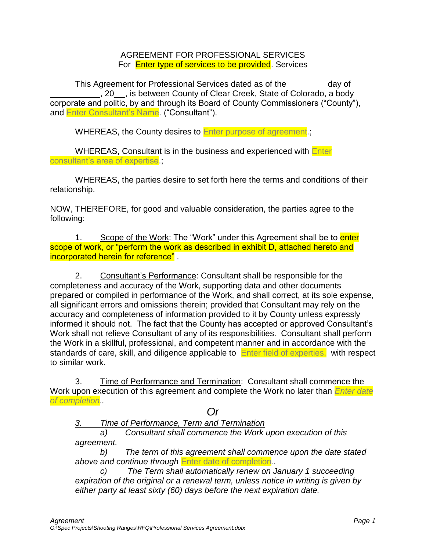AGREEMENT FOR PROFESSIONAL SERVICES For **Enter type of services to be provided**. Services

This Agreement for Professional Services dated as of the \_\_\_\_\_\_\_\_ day of , 20 , is between County of Clear Creek, State of Colorado, a body corporate and politic, by and through its Board of County Commissioners ("County"), and Enter Consultant's Name. ("Consultant").

WHEREAS, the County desires to Enter purpose of agreement.

WHEREAS, Consultant is in the business and experienced with **Enter** consultant's area of expertise.

WHEREAS, the parties desire to set forth here the terms and conditions of their relationship.

NOW, THEREFORE, for good and valuable consideration, the parties agree to the following:

1. Scope of the Work: The "Work" under this Agreement shall be to enter scope of work, or "perform the work as described in exhibit D, attached hereto and incorporated herein for reference" .

2. Consultant's Performance: Consultant shall be responsible for the completeness and accuracy of the Work, supporting data and other documents prepared or compiled in performance of the Work, and shall correct, at its sole expense, all significant errors and omissions therein; provided that Consultant may rely on the accuracy and completeness of information provided to it by County unless expressly informed it should not. The fact that the County has accepted or approved Consultant's Work shall not relieve Consultant of any of its responsibilities. Consultant shall perform the Work in a skillful, professional, and competent manner and in accordance with the standards of care, skill, and diligence applicable to **Enter field of experties**, with respect to similar work.

3. Time of Performance and Termination: Consultant shall commence the Work upon execution of this agreement and complete the Work no later than *Enter date of completion..* 

*Or*

*3. Time of Performance, Term and Termination*

*a) Consultant shall commence the Work upon execution of this agreement.*

*b) The term of this agreement shall commence upon the date stated above and continue through* Enter date of completion.*.*

*c) The Term shall automatically renew on January 1 succeeding expiration of the original or a renewal term, unless notice in writing is given by either party at least sixty (60) days before the next expiration date.*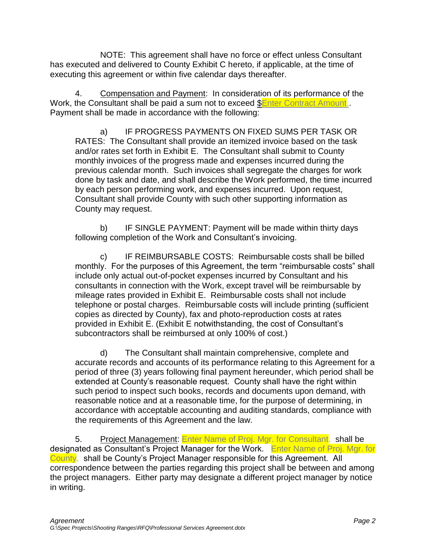NOTE: This agreement shall have no force or effect unless Consultant has executed and delivered to County Exhibit C hereto, if applicable, at the time of executing this agreement or within five calendar days thereafter.

4. Compensation and Payment: In consideration of its performance of the Work, the Consultant shall be paid a sum not to exceed **\$Enter Contract Amount**.. Payment shall be made in accordance with the following:

a) IF PROGRESS PAYMENTS ON FIXED SUMS PER TASK OR RATES: The Consultant shall provide an itemized invoice based on the task and/or rates set forth in Exhibit E. The Consultant shall submit to County monthly invoices of the progress made and expenses incurred during the previous calendar month. Such invoices shall segregate the charges for work done by task and date, and shall describe the Work performed, the time incurred by each person performing work, and expenses incurred. Upon request, Consultant shall provide County with such other supporting information as County may request.

b) IF SINGLE PAYMENT: Payment will be made within thirty days following completion of the Work and Consultant's invoicing.

c) IF REIMBURSABLE COSTS: Reimbursable costs shall be billed monthly. For the purposes of this Agreement, the term "reimbursable costs" shall include only actual out-of-pocket expenses incurred by Consultant and his consultants in connection with the Work, except travel will be reimbursable by mileage rates provided in Exhibit E. Reimbursable costs shall not include telephone or postal charges. Reimbursable costs will include printing (sufficient copies as directed by County), fax and photo-reproduction costs at rates provided in Exhibit E. (Exhibit E notwithstanding, the cost of Consultant's subcontractors shall be reimbursed at only 100% of cost.)

d) The Consultant shall maintain comprehensive, complete and accurate records and accounts of its performance relating to this Agreement for a period of three (3) years following final payment hereunder, which period shall be extended at County's reasonable request. County shall have the right within such period to inspect such books, records and documents upon demand, with reasonable notice and at a reasonable time, for the purpose of determining, in accordance with acceptable accounting and auditing standards, compliance with the requirements of this Agreement and the law.

5. Project Management: Enter Name of Proj. Mgr. for Consultant. shall be designated as Consultant's Project Manager for the Work. Enter Name of Proj. Mgr. for County. shall be County's Project Manager responsible for this Agreement. All correspondence between the parties regarding this project shall be between and among the project managers. Either party may designate a different project manager by notice in writing.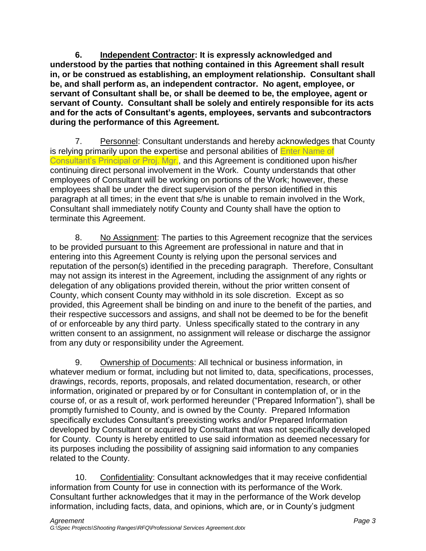**6. Independent Contractor: It is expressly acknowledged and understood by the parties that nothing contained in this Agreement shall result in, or be construed as establishing, an employment relationship. Consultant shall be, and shall perform as, an independent contractor. No agent, employee, or servant of Consultant shall be, or shall be deemed to be, the employee, agent or servant of County. Consultant shall be solely and entirely responsible for its acts and for the acts of Consultant's agents, employees, servants and subcontractors during the performance of this Agreement.**

7. Personnel: Consultant understands and hereby acknowledges that County is relying primarily upon the expertise and personal abilities of Enter Name of Consultant's Principal or Proj. Mgr., and this Agreement is conditioned upon his/her continuing direct personal involvement in the Work. County understands that other employees of Consultant will be working on portions of the Work; however, these employees shall be under the direct supervision of the person identified in this paragraph at all times; in the event that s/he is unable to remain involved in the Work, Consultant shall immediately notify County and County shall have the option to terminate this Agreement.

8. No Assignment: The parties to this Agreement recognize that the services to be provided pursuant to this Agreement are professional in nature and that in entering into this Agreement County is relying upon the personal services and reputation of the person(s) identified in the preceding paragraph. Therefore, Consultant may not assign its interest in the Agreement, including the assignment of any rights or delegation of any obligations provided therein, without the prior written consent of County, which consent County may withhold in its sole discretion. Except as so provided, this Agreement shall be binding on and inure to the benefit of the parties, and their respective successors and assigns, and shall not be deemed to be for the benefit of or enforceable by any third party. Unless specifically stated to the contrary in any written consent to an assignment, no assignment will release or discharge the assignor from any duty or responsibility under the Agreement.

9. Ownership of Documents: All technical or business information, in whatever medium or format, including but not limited to, data, specifications, processes, drawings, records, reports, proposals, and related documentation, research, or other information, originated or prepared by or for Consultant in contemplation of, or in the course of, or as a result of, work performed hereunder ("Prepared Information"), shall be promptly furnished to County, and is owned by the County. Prepared Information specifically excludes Consultant's preexisting works and/or Prepared Information developed by Consultant or acquired by Consultant that was not specifically developed for County. County is hereby entitled to use said information as deemed necessary for its purposes including the possibility of assigning said information to any companies related to the County.

10. Confidentiality: Consultant acknowledges that it may receive confidential information from County for use in connection with its performance of the Work. Consultant further acknowledges that it may in the performance of the Work develop information, including facts, data, and opinions, which are, or in County's judgment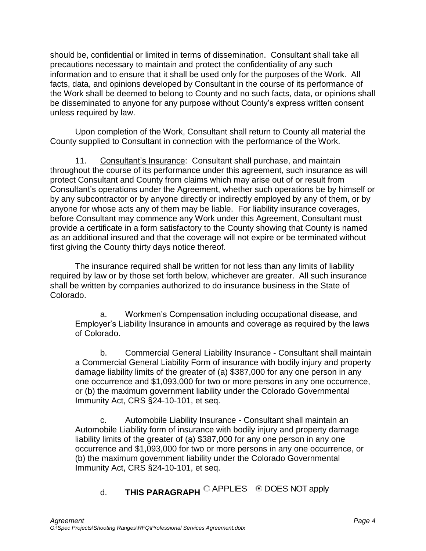should be, confidential or limited in terms of dissemination. Consultant shall take all precautions necessary to maintain and protect the confidentiality of any such information and to ensure that it shall be used only for the purposes of the Work. All facts, data, and opinions developed by Consultant in the course of its performance of the Work shall be deemed to belong to County and no such facts, data, or opinions shall be disseminated to anyone for any purpose without County's express written consent unless required by law.

Upon completion of the Work, Consultant shall return to County all material the County supplied to Consultant in connection with the performance of the Work.

11. Consultant's Insurance: Consultant shall purchase, and maintain throughout the course of its performance under this agreement, such insurance as will protect Consultant and County from claims which may arise out of or result from Consultant's operations under the Agreement, whether such operations be by himself or by any subcontractor or by anyone directly or indirectly employed by any of them, or by anyone for whose acts any of them may be liable. For liability insurance coverages, before Consultant may commence any Work under this Agreement, Consultant must provide a certificate in a form satisfactory to the County showing that County is named as an additional insured and that the coverage will not expire or be terminated without first giving the County thirty days notice thereof.

The insurance required shall be written for not less than any limits of liability required by law or by those set forth below, whichever are greater. All such insurance shall be written by companies authorized to do insurance business in the State of Colorado.

a. Workmen's Compensation including occupational disease, and Employer's Liability Insurance in amounts and coverage as required by the laws of Colorado.

b. Commercial General Liability Insurance - Consultant shall maintain a Commercial General Liability Form of insurance with bodily injury and property damage liability limits of the greater of (a) \$387,000 for any one person in any one occurrence and \$1,093,000 for two or more persons in any one occurrence, or (b) the maximum government liability under the Colorado Governmental Immunity Act, CRS §24-10-101, et seq.

c. Automobile Liability Insurance - Consultant shall maintain an Automobile Liability form of insurance with bodily injury and property damage liability limits of the greater of (a) \$387,000 for any one person in any one occurrence and \$1,093,000 for two or more persons in any one occurrence, or (b) the maximum government liability under the Colorado Governmental Immunity Act, CRS §24-10-101, et seq.

d. **THIS PARAGRAPH**  $\mathbb{C}$  APPLIES  $\quad$  DOES NOT apply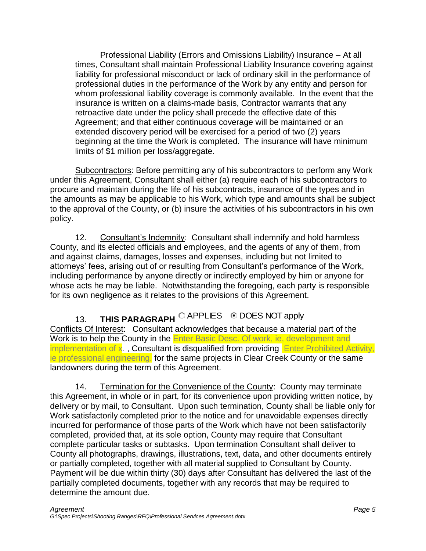Professional Liability (Errors and Omissions Liability) Insurance – At all times, Consultant shall maintain Professional Liability Insurance covering against liability for professional misconduct or lack of ordinary skill in the performance of professional duties in the performance of the Work by any entity and person for whom professional liability coverage is commonly available. In the event that the insurance is written on a claims-made basis, Contractor warrants that any retroactive date under the policy shall precede the effective date of this Agreement; and that either continuous coverage will be maintained or an extended discovery period will be exercised for a period of two (2) years beginning at the time the Work is completed. The insurance will have minimum limits of \$1 million per loss/aggregate.

Subcontractors: Before permitting any of his subcontractors to perform any Work under this Agreement, Consultant shall either (a) require each of his subcontractors to procure and maintain during the life of his subcontracts, insurance of the types and in the amounts as may be applicable to his Work, which type and amounts shall be subject to the approval of the County, or (b) insure the activities of his subcontractors in his own policy.

12. Consultant's Indemnity: Consultant shall indemnify and hold harmless County, and its elected officials and employees, and the agents of any of them, from and against claims, damages, losses and expenses, including but not limited to attorneys' fees, arising out of or resulting from Consultant's performance of the Work, including performance by anyone directly or indirectly employed by him or anyone for whose acts he may be liable. Notwithstanding the foregoing, each party is responsible for its own negligence as it relates to the provisions of this Agreement.

13. **THIS PARAGRAPH** CAPPLIES © DOES NOT apply Conflicts Of Interest: Consultant acknowledges that because a material part of the Work is to help the County in the **Enter Basic Desc. Of work, ie, development and** implementation of x. , Consultant is disqualified from providing Enter Prohibited Activity, ie professional engineering. for the same projects in Clear Creek County or the same landowners during the term of this Agreement.

14. Termination for the Convenience of the County: County may terminate this Agreement, in whole or in part, for its convenience upon providing written notice, by delivery or by mail, to Consultant. Upon such termination, County shall be liable only for Work satisfactorily completed prior to the notice and for unavoidable expenses directly incurred for performance of those parts of the Work which have not been satisfactorily completed, provided that, at its sole option, County may require that Consultant complete particular tasks or subtasks. Upon termination Consultant shall deliver to County all photographs, drawings, illustrations, text, data, and other documents entirely or partially completed, together with all material supplied to Consultant by County. Payment will be due within thirty (30) days after Consultant has delivered the last of the partially completed documents, together with any records that may be required to determine the amount due.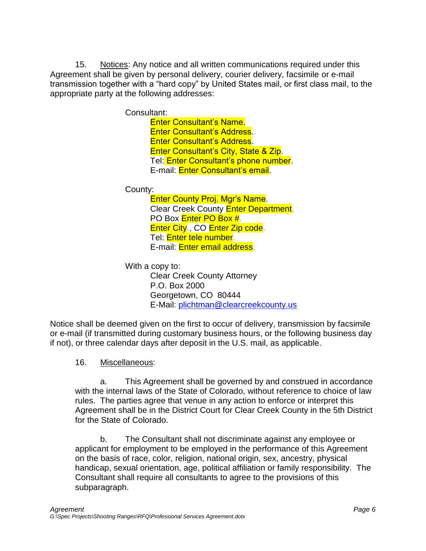15. Notices: Any notice and all written communications required under this Agreement shall be given by personal delivery, courier delivery, facsimile or e-mail transmission together with a "hard copy" by United States mail, or first class mail, to the appropriate party at the following addresses:

Consultant:

Enter Consultant's Name. Enter Consultant's Address. Enter Consultant's Address. Enter Consultant's City, State & Zip. Tel: Enter Consultant's phone number. E-mail: Enter Consultant's email.

County:

Enter County Proj. Mgr's Name. Clear Creek County **Enter Department**. PO Box **Enter PO Box #**. Enter City., CO Enter Zip code. Tel: <mark>Enter tele number</mark>. E-mail: Enter email address.

With a copy to: Clear Creek County Attorney P.O. Box 2000 Georgetown, CO 80444 E-Mail: [plichtman@clearcreekcounty.us](mailto:plichtman@clearcreekcounty.us)

Notice shall be deemed given on the first to occur of delivery, transmission by facsimile or e-mail (if transmitted during customary business hours, or the following business day if not), or three calendar days after deposit in the U.S. mail, as applicable.

## 16. Miscellaneous:

a. This Agreement shall be governed by and construed in accordance with the internal laws of the State of Colorado, without reference to choice of law rules. The parties agree that venue in any action to enforce or interpret this Agreement shall be in the District Court for Clear Creek County in the 5th District for the State of Colorado.

b. The Consultant shall not discriminate against any employee or applicant for employment to be employed in the performance of this Agreement on the basis of race, color, religion, national origin, sex, ancestry, physical handicap, sexual orientation, age, political affiliation or family responsibility. The Consultant shall require all consultants to agree to the provisions of this subparagraph.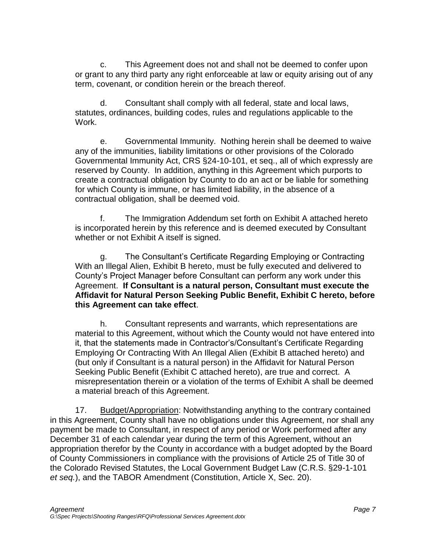c. This Agreement does not and shall not be deemed to confer upon or grant to any third party any right enforceable at law or equity arising out of any term, covenant, or condition herein or the breach thereof.

d. Consultant shall comply with all federal, state and local laws, statutes, ordinances, building codes, rules and regulations applicable to the Work.

e. Governmental Immunity. Nothing herein shall be deemed to waive any of the immunities, liability limitations or other provisions of the Colorado Governmental Immunity Act, CRS §24-10-101, et seq., all of which expressly are reserved by County. In addition, anything in this Agreement which purports to create a contractual obligation by County to do an act or be liable for something for which County is immune, or has limited liability, in the absence of a contractual obligation, shall be deemed void.

f. The Immigration Addendum set forth on Exhibit A attached hereto is incorporated herein by this reference and is deemed executed by Consultant whether or not Exhibit A itself is signed.

g. The Consultant's Certificate Regarding Employing or Contracting With an Illegal Alien, Exhibit B hereto, must be fully executed and delivered to County's Project Manager before Consultant can perform any work under this Agreement. **If Consultant is a natural person, Consultant must execute the Affidavit for Natural Person Seeking Public Benefit, Exhibit C hereto, before this Agreement can take effect**.

h. Consultant represents and warrants, which representations are material to this Agreement, without which the County would not have entered into it, that the statements made in Contractor's/Consultant's Certificate Regarding Employing Or Contracting With An Illegal Alien (Exhibit B attached hereto) and (but only if Consultant is a natural person) in the Affidavit for Natural Person Seeking Public Benefit (Exhibit C attached hereto), are true and correct. A misrepresentation therein or a violation of the terms of Exhibit A shall be deemed a material breach of this Agreement.

17. Budget/Appropriation: Notwithstanding anything to the contrary contained in this Agreement, County shall have no obligations under this Agreement, nor shall any payment be made to Consultant, in respect of any period or Work performed after any December 31 of each calendar year during the term of this Agreement, without an appropriation therefor by the County in accordance with a budget adopted by the Board of County Commissioners in compliance with the provisions of Article 25 of Title 30 of the Colorado Revised Statutes, the Local Government Budget Law (C.R.S. §29-1-101 *et seq.*), and the TABOR Amendment (Constitution, Article X, Sec. 20).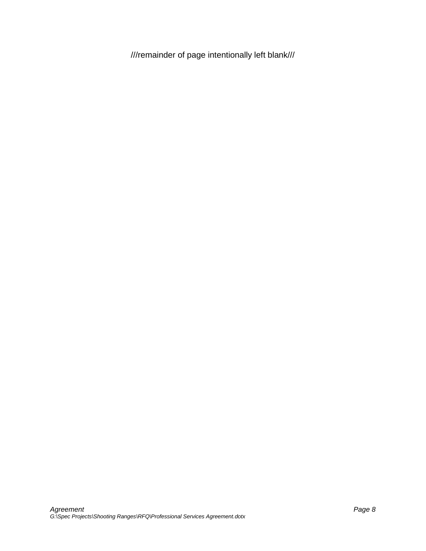///remainder of page intentionally left blank///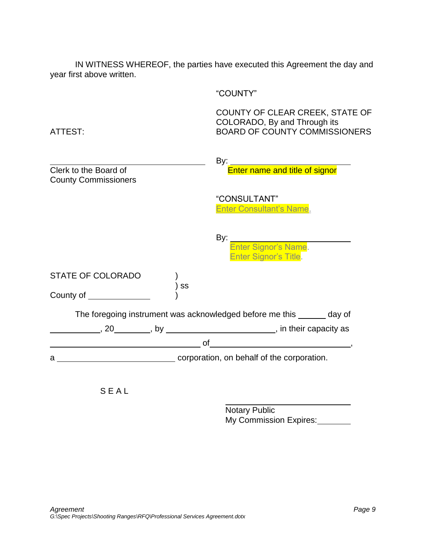IN WITNESS WHEREOF, the parties have executed this Agreement the day and year first above written.

"COUNTY"

COUNTY OF CLEAR CREEK, STATE OF COLORADO, By and Through its ATTEST: BOARD OF COUNTY COMMISSIONERS

|                                                         | "CONSULTANT"<br><b>Enter Consultant's Name.</b>                        |
|---------------------------------------------------------|------------------------------------------------------------------------|
|                                                         |                                                                        |
|                                                         | By:<br>Enter Signor's Name.<br>Enter Signor's Title.                   |
| <b>STATE OF COLORADO</b>                                |                                                                        |
| SS<br>County of _____________                           |                                                                        |
|                                                         | The foregoing instrument was acknowledged before me this ______ day of |
|                                                         |                                                                        |
| $\hspace{1.5cm}$ of $\hspace{1.5cm}$ . $\hspace{1.5cm}$ |                                                                        |
| corporation, on behalf of the corporation.<br>a         |                                                                        |
| SEAI                                                    |                                                                        |

Notary Public My Commission Expires: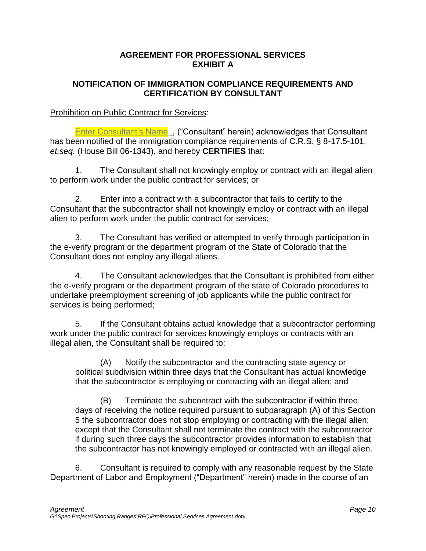### **AGREEMENT FOR PROFESSIONAL SERVICES EXHIBIT A**

### **NOTIFICATION OF IMMIGRATION COMPLIANCE REQUIREMENTS AND CERTIFICATION BY CONSULTANT**

### Prohibition on Public Contract for Services:

Enter Consultant's Name., ("Consultant" herein) acknowledges that Consultant has been notified of the immigration compliance requirements of C.R.S. § 8-17.5-101, *et.seq.* (House Bill 06-1343), and hereby **CERTIFIES** that:

1. The Consultant shall not knowingly employ or contract with an illegal alien to perform work under the public contract for services; or

2. Enter into a contract with a subcontractor that fails to certify to the Consultant that the subcontractor shall not knowingly employ or contract with an illegal alien to perform work under the public contract for services;

3. The Consultant has verified or attempted to verify through participation in the e-verify program or the department program of the State of Colorado that the Consultant does not employ any illegal aliens.

4. The Consultant acknowledges that the Consultant is prohibited from either the e-verify program or the department program of the state of Colorado procedures to undertake preemployment screening of job applicants while the public contract for services is being performed;

5. If the Consultant obtains actual knowledge that a subcontractor performing work under the public contract for services knowingly employs or contracts with an illegal alien, the Consultant shall be required to:

(A) Notify the subcontractor and the contracting state agency or political subdivision within three days that the Consultant has actual knowledge that the subcontractor is employing or contracting with an illegal alien; and

(B) Terminate the subcontract with the subcontractor if within three days of receiving the notice required pursuant to subparagraph (A) of this Section 5 the subcontractor does not stop employing or contracting with the illegal alien; except that the Consultant shall not terminate the contract with the subcontractor if during such three days the subcontractor provides information to establish that the subcontractor has not knowingly employed or contracted with an illegal alien.

6. Consultant is required to comply with any reasonable request by the State Department of Labor and Employment ("Department" herein) made in the course of an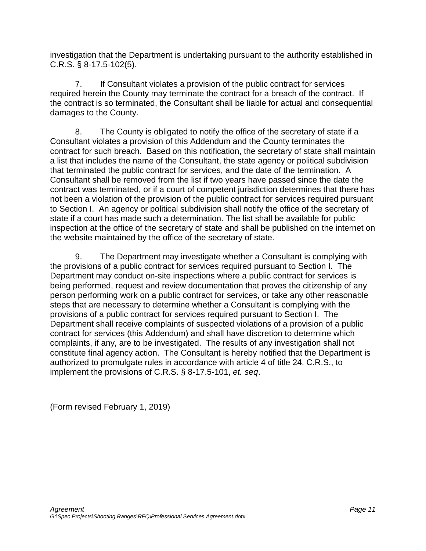investigation that the Department is undertaking pursuant to the authority established in C.R.S. § 8-17.5-102(5).

7. If Consultant violates a provision of the public contract for services required herein the County may terminate the contract for a breach of the contract. If the contract is so terminated, the Consultant shall be liable for actual and consequential damages to the County.

8. The County is obligated to notify the office of the secretary of state if a Consultant violates a provision of this Addendum and the County terminates the contract for such breach. Based on this notification, the secretary of state shall maintain a list that includes the name of the Consultant, the state agency or political subdivision that terminated the public contract for services, and the date of the termination. A Consultant shall be removed from the list if two years have passed since the date the contract was terminated, or if a court of competent jurisdiction determines that there has not been a violation of the provision of the public contract for services required pursuant to Section I. An agency or political subdivision shall notify the office of the secretary of state if a court has made such a determination. The list shall be available for public inspection at the office of the secretary of state and shall be published on the internet on the website maintained by the office of the secretary of state.

9. The Department may investigate whether a Consultant is complying with the provisions of a public contract for services required pursuant to Section I. The Department may conduct on-site inspections where a public contract for services is being performed, request and review documentation that proves the citizenship of any person performing work on a public contract for services, or take any other reasonable steps that are necessary to determine whether a Consultant is complying with the provisions of a public contract for services required pursuant to Section I. The Department shall receive complaints of suspected violations of a provision of a public contract for services (this Addendum) and shall have discretion to determine which complaints, if any, are to be investigated. The results of any investigation shall not constitute final agency action. The Consultant is hereby notified that the Department is authorized to promulgate rules in accordance with article 4 of title 24, C.R.S., to implement the provisions of C.R.S. § 8-17.5-101, *et. seq*.

(Form revised February 1, 2019)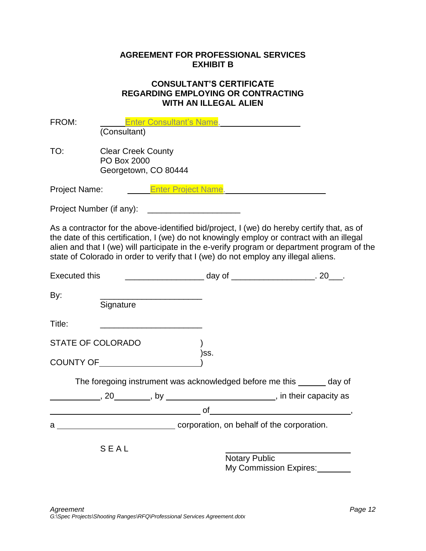### **AGREEMENT FOR PROFESSIONAL SERVICES EXHIBIT B**

#### **CONSULTANT'S CERTIFICATE REGARDING EMPLOYING OR CONTRACTING WITH AN ILLEGAL ALIEN**

| FROM:                |                                        |                                                   | Enter Consultant's Name.                           |                                                                                                                                                                                                                                                                                                                                                                               |  |
|----------------------|----------------------------------------|---------------------------------------------------|----------------------------------------------------|-------------------------------------------------------------------------------------------------------------------------------------------------------------------------------------------------------------------------------------------------------------------------------------------------------------------------------------------------------------------------------|--|
|                      | (Consultant)                           |                                                   |                                                    |                                                                                                                                                                                                                                                                                                                                                                               |  |
| TO:                  | PO Box 2000                            | <b>Clear Creek County</b><br>Georgetown, CO 80444 |                                                    |                                                                                                                                                                                                                                                                                                                                                                               |  |
| Project Name:        |                                        |                                                   | <b>Enter Project Name.</b>                         |                                                                                                                                                                                                                                                                                                                                                                               |  |
|                      |                                        |                                                   | Project Number (if any): _________________________ |                                                                                                                                                                                                                                                                                                                                                                               |  |
|                      |                                        |                                                   |                                                    | As a contractor for the above-identified bid/project, I (we) do hereby certify that, as of<br>the date of this certification, I (we) do not knowingly employ or contract with an illegal<br>alien and that I (we) will participate in the e-verify program or department program of the<br>state of Colorado in order to verify that I (we) do not employ any illegal aliens. |  |
| <b>Executed this</b> |                                        |                                                   |                                                    | __________________________ day of __________________________. 20____.                                                                                                                                                                                                                                                                                                         |  |
| By:                  | Signature                              |                                                   |                                                    |                                                                                                                                                                                                                                                                                                                                                                               |  |
| Title:               |                                        |                                                   |                                                    |                                                                                                                                                                                                                                                                                                                                                                               |  |
|                      | <b>STATE OF COLORADO</b>               |                                                   | )ss.                                               |                                                                                                                                                                                                                                                                                                                                                                               |  |
|                      | <b>COUNTY OF EXAMPLE AND THE STATE</b> |                                                   |                                                    |                                                                                                                                                                                                                                                                                                                                                                               |  |
|                      |                                        |                                                   |                                                    | The foregoing instrument was acknowledged before me this ______ day of                                                                                                                                                                                                                                                                                                        |  |
|                      |                                        |                                                   |                                                    |                                                                                                                                                                                                                                                                                                                                                                               |  |
|                      |                                        |                                                   |                                                    | $\overline{\phantom{a}}$ of $\overline{\phantom{a}}$ , $\overline{\phantom{a}}$                                                                                                                                                                                                                                                                                               |  |
|                      |                                        |                                                   |                                                    |                                                                                                                                                                                                                                                                                                                                                                               |  |
|                      | SEAL                                   |                                                   |                                                    |                                                                                                                                                                                                                                                                                                                                                                               |  |
|                      |                                        |                                                   | <b>Notary Public</b>                               |                                                                                                                                                                                                                                                                                                                                                                               |  |
|                      |                                        |                                                   |                                                    | My Commission Expires:                                                                                                                                                                                                                                                                                                                                                        |  |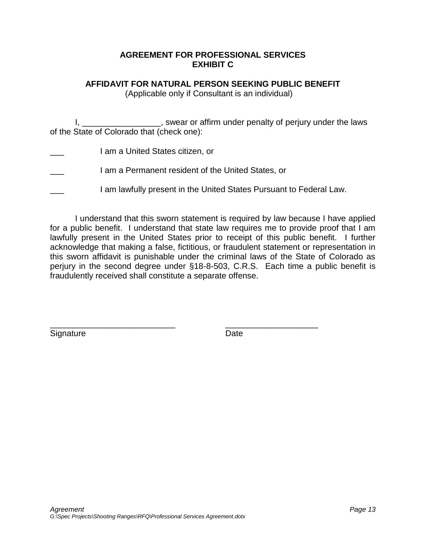#### **AGREEMENT FOR PROFESSIONAL SERVICES EXHIBIT C**

# **AFFIDAVIT FOR NATURAL PERSON SEEKING PUBLIC BENEFIT**

(Applicable only if Consultant is an individual)

I, \_\_\_\_\_\_\_\_\_\_\_\_\_\_\_\_\_\_, swear or affirm under penalty of perjury under the laws of the State of Colorado that (check one):

- I am a United States citizen, or
- I am a Permanent resident of the United States, or
- I am lawfully present in the United States Pursuant to Federal Law.

\_\_\_\_\_\_\_\_\_\_\_\_\_\_\_\_\_\_\_\_\_\_\_\_\_\_\_ \_\_\_\_\_\_\_\_\_\_\_\_\_\_\_\_\_\_\_\_

I understand that this sworn statement is required by law because I have applied for a public benefit. I understand that state law requires me to provide proof that I am lawfully present in the United States prior to receipt of this public benefit. I further acknowledge that making a false, fictitious, or fraudulent statement or representation in this sworn affidavit is punishable under the criminal laws of the State of Colorado as perjury in the second degree under §18-8-503, C.R.S. Each time a public benefit is fraudulently received shall constitute a separate offense.

Signature Date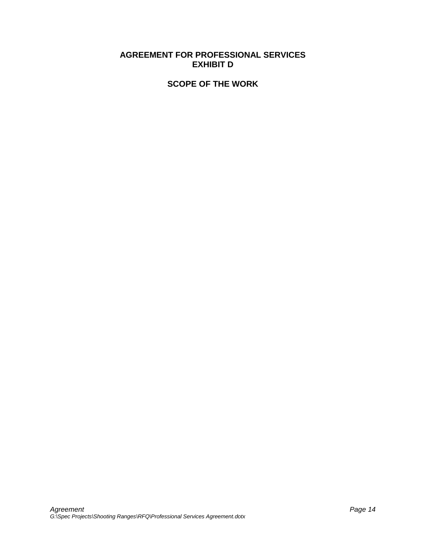### **AGREEMENT FOR PROFESSIONAL SERVICES EXHIBIT D**

#### **SCOPE OF THE WORK**